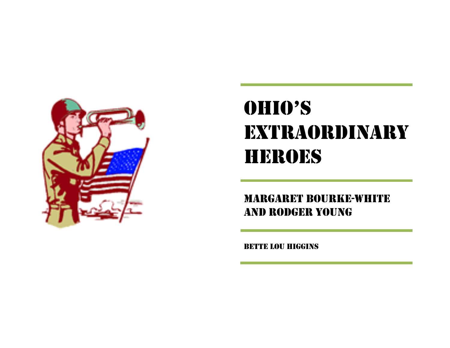

## OHIO'S **EXTRAORDINARY** HEROES

MARGARET BOURKE-WHITE AND RODGER YOUNG

BETTE LOU HIGGINS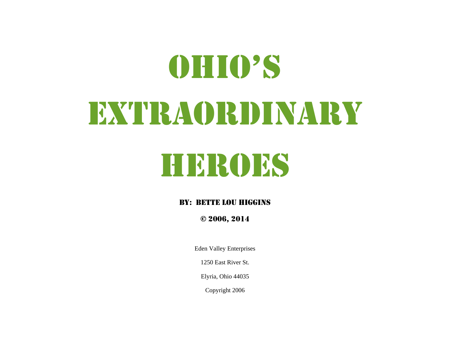# OHIO'S EXTRAORDINARY

## HEROES

#### BY: BETTE LOU HIGGINS

© 2006, 2014

Eden Valley Enterprises

1250 East River St.

Elyria, Ohio 44035

Copyright 2006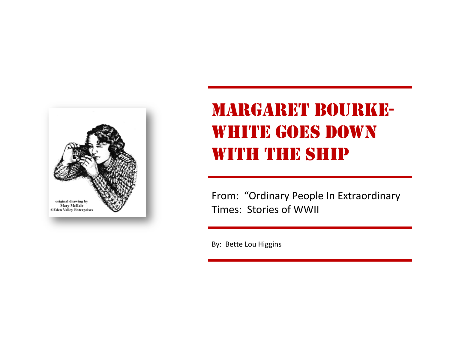

## MARGARET BOURKE WHITE GOES DOWN WITH THE SHIP

From: "Ordinary People In Extraordinary Times: Stories of WWII

By: Bette Lou Higgins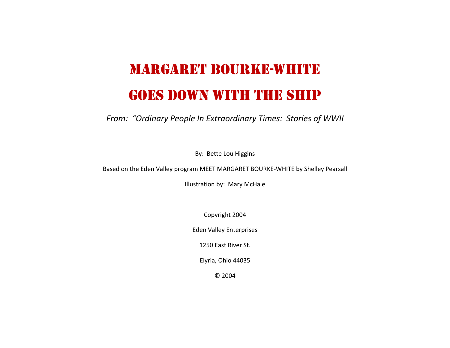#### MARGARET BOURKE-WHITE

#### GOES DOWN WITH THE SHIP

*From: "Ordinary People In Extraordinary Times: Stories of WWII*

By: Bette Lou Higgins

Based on the Eden Valley program MEET MARGARET BOURKE‐WHITE by Shelley Pearsall

Illustration by: Mary McHale

Copyright 2004

Eden Valley Enterprises

1250 East River St.

Elyria, Ohio 44035

© 2004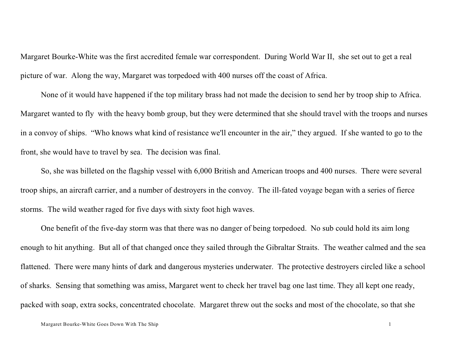Margaret Bourke-White was the first accredited female war correspondent. During World War II, she set out to get a real picture of war. Along the way, Margaret was torpedoed with 400 nurses off the coast of Africa.

None of it would have happened if the top military brass had not made the decision to send her by troop ship to Africa. Margaret wanted to fly with the heavy bomb group, but they were determined that she should travel with the troops and nurses in a convoy of ships. "Who knows what kind of resistance we'll encounter in the air," they argued. If she wanted to go to the front, she would have to travel by sea. The decision was final.

 So, she was billeted on the flagship vessel with 6,000 British and American troops and 400 nurses. There were several troop ships, an aircraft carrier, and a number of destroyers in the convoy. The ill-fated voyage began with a series of fierce storms. The wild weather raged for five days with sixty foot high waves.

One benefit of the five-day storm was that there was no danger of being torpedoed. No sub could hold its aim long enough to hit anything. But all of that changed once they sailed through the Gibraltar Straits. The weather calmed and the sea flattened. There were many hints of dark and dangerous mysteries underwater. The protective destroyers circled like a school of sharks. Sensing that something was amiss, Margaret went to check her travel bag one last time. They all kept one ready, packed with soap, extra socks, concentrated chocolate. Margaret threw out the socks and most of the chocolate, so that she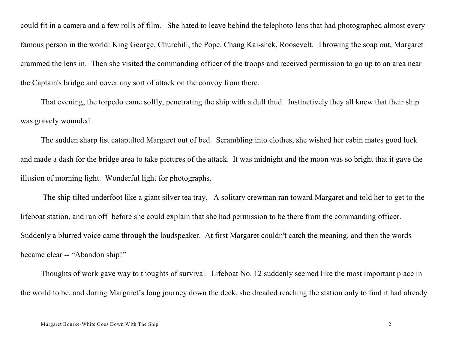could fit in a camera and a few rolls of film. She hated to leave behind the telephoto lens that had photographed almost every famous person in the world: King George, Churchill, the Pope, Chang Kai-shek, Roosevelt. Throwing the soap out, Margaret crammed the lens in. Then she visited the commanding officer of the troops and received permission to go up to an area near the Captain's bridge and cover any sort of attack on the convoy from there.

 That evening, the torpedo came softly, penetrating the ship with a dull thud. Instinctively they all knew that their ship was gravely wounded.

The sudden sharp list catapulted Margaret out of bed. Scrambling into clothes, she wished her cabin mates good luck and made a dash for the bridge area to take pictures of the attack. It was midnight and the moon was so bright that it gave the illusion of morning light. Wonderful light for photographs.

 The ship tilted underfoot like a giant silver tea tray. A solitary crewman ran toward Margaret and told her to get to the lifeboat station, and ran off before she could explain that she had permission to be there from the commanding officer. Suddenly a blurred voice came through the loudspeaker. At first Margaret couldn't catch the meaning, and then the words became clear -- "Abandon ship!"

 Thoughts of work gave way to thoughts of survival. Lifeboat No. 12 suddenly seemed like the most important place in the world to be, and during Margaret's long journey down the deck, she dreaded reaching the station only to find it had already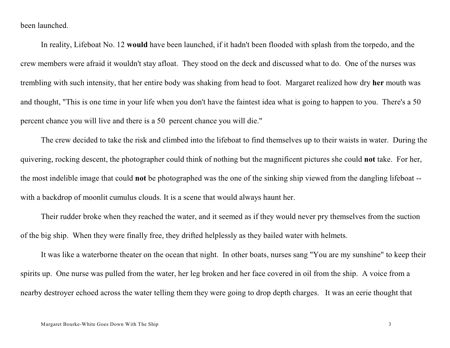been launched.

In reality, Lifeboat No. 12 **would** have been launched, if it hadn't been flooded with splash from the torpedo, and the crew members were afraid it wouldn't stay afloat. They stood on the deck and discussed what to do. One of the nurses was trembling with such intensity, that her entire body was shaking from head to foot. Margaret realized how dry **her** mouth was and thought, "This is one time in your life when you don't have the faintest idea what is going to happen to you. There's a 50 percent chance you will live and there is a 50 percent chance you will die."

The crew decided to take the risk and climbed into the lifeboat to find themselves up to their waists in water. During the quivering, rocking descent, the photographer could think of nothing but the magnificent pictures she could **not** take. For her, the most indelible image that could **not** be photographed was the one of the sinking ship viewed from the dangling lifeboat - with a backdrop of moonlit cumulus clouds. It is a scene that would always haunt her.

Their rudder broke when they reached the water, and it seemed as if they would never pry themselves from the suction of the big ship. When they were finally free, they drifted helplessly as they bailed water with helmets.

It was like a waterborne theater on the ocean that night. In other boats, nurses sang "You are my sunshine" to keep their spirits up. One nurse was pulled from the water, her leg broken and her face covered in oil from the ship. A voice from a nearby destroyer echoed across the water telling them they were going to drop depth charges. It was an eerie thought that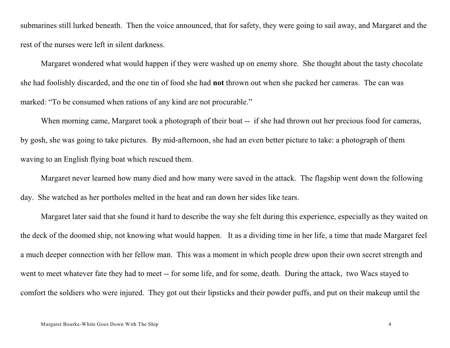submarines still lurked beneath. Then the voice announced, that for safety, they were going to sail away, and Margaret and the rest of the nurses were left in silent darkness.

 Margaret wondered what would happen if they were washed up on enemy shore. She thought about the tasty chocolate she had foolishly discarded, and the one tin of food she had **not** thrown out when she packed her cameras. The can was marked: "To be consumed when rations of any kind are not procurable."

When morning came, Margaret took a photograph of their boat -- if she had thrown out her precious food for cameras, by gosh, she was going to take pictures. By mid-afternoon, she had an even better picture to take: a photograph of them waving to an English flying boat which rescued them.

Margaret never learned how many died and how many were saved in the attack. The flagship went down the following day. She watched as her portholes melted in the heat and ran down her sides like tears.

 Margaret later said that she found it hard to describe the way she felt during this experience, especially as they waited on the deck of the doomed ship, not knowing what would happen. It as a dividing time in her life, a time that made Margaret feel a much deeper connection with her fellow man. This was a moment in which people drew upon their own secret strength and went to meet whatever fate they had to meet -- for some life, and for some, death. During the attack, two Wacs stayed to comfort the soldiers who were injured. They got out their lipsticks and their powder puffs, and put on their makeup until the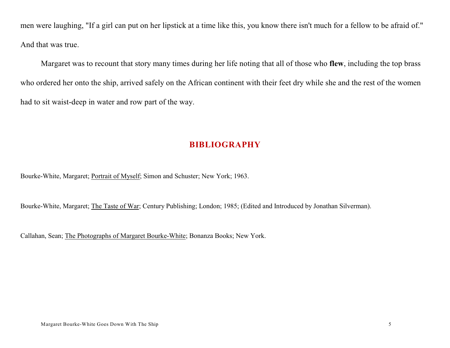men were laughing, "If a girl can put on her lipstick at a time like this, you know there isn't much for a fellow to be afraid of." And that was true.

 Margaret was to recount that story many times during her life noting that all of those who **flew**, including the top brass who ordered her onto the ship, arrived safely on the African continent with their feet dry while she and the rest of the women had to sit waist-deep in water and row part of the way.

#### **BIBLIOGRAPHY**

Bourke-White, Margaret; Portrait of Myself; Simon and Schuster; New York; 1963.

Bourke-White, Margaret; The Taste of War; Century Publishing; London; 1985; (Edited and Introduced by Jonathan Silverman).

Callahan, Sean; The Photographs of Margaret Bourke-White; Bonanza Books; New York.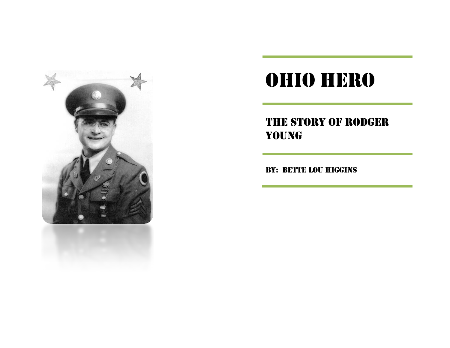

#### THE STORY OF RODGER YOUNG

BY: BETTE LOU HIGGINS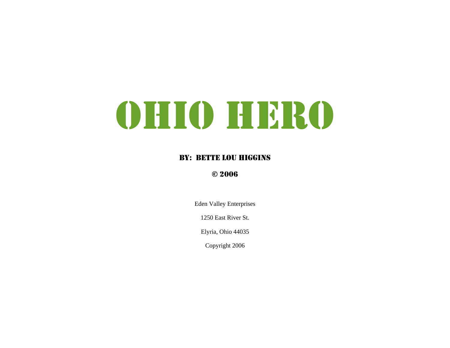#### BY: BETTE LOU HIGGINS

#### © 2006

Eden Valley Enterprises

1250 East River St.

Elyria, Ohio 44035

Copyright 2006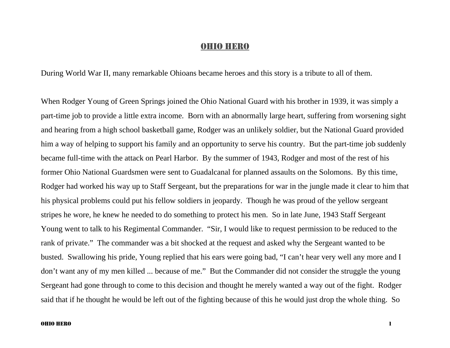During World War II, many remarkable Ohioans became heroes and this story is a tribute to all of them.

When Rodger Young of Green Springs joined the Ohio National Guard with his brother in 1939, it was simply a part-time job to provide a little extra income. Born with an abnormally large heart, suffering from worsening sight and hearing from a high school basketball game, Rodger was an unlikely soldier, but the National Guard provided him a way of helping to support his family and an opportunity to serve his country. But the part-time job suddenly became full-time with the attack on Pearl Harbor. By the summer of 1943, Rodger and most of the rest of his former Ohio National Guardsmen were sent to Guadalcanal for planned assaults on the Solomons. By this time, Rodger had worked his way up to Staff Sergeant, but the preparations for war in the jungle made it clear to him that his physical problems could put his fellow soldiers in jeopardy. Though he was proud of the yellow sergeant stripes he wore, he knew he needed to do something to protect his men. So in late June, 1943 Staff Sergeant Young went to talk to his Regimental Commander. "Sir, I would like to request permission to be reduced to the rank of private." The commander was a bit shocked at the request and asked why the Sergeant wanted to be busted. Swallowing his pride, Young replied that his ears were going bad, "I can't hear very well any more and I don't want any of my men killed ... because of me." But the Commander did not consider the struggle the young Sergeant had gone through to come to this decision and thought he merely wanted a way out of the fight. Rodger said that if he thought he would be left out of the fighting because of this he would just drop the whole thing. So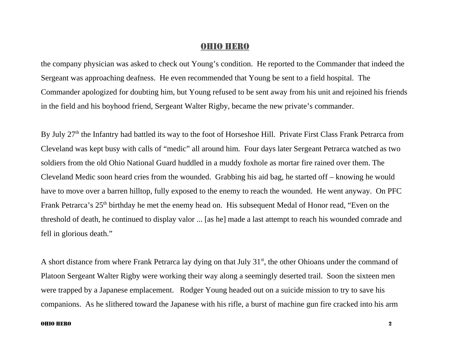the company physician was asked to check out Young's condition. He reported to the Commander that indeed the Sergeant was approaching deafness. He even recommended that Young be sent to a field hospital. The Commander apologized for doubting him, but Young refused to be sent away from his unit and rejoined his friends in the field and his boyhood friend, Sergeant Walter Rigby, became the new private's commander.

By July 27<sup>th</sup> the Infantry had battled its way to the foot of Horseshoe Hill. Private First Class Frank Petrarca from Cleveland was kept busy with calls of "medic" all around him. Four days later Sergeant Petrarca watched as two soldiers from the old Ohio National Guard huddled in a muddy foxhole as mortar fire rained over them. The Cleveland Medic soon heard cries from the wounded. Grabbing his aid bag, he started off – knowing he would have to move over a barren hilltop, fully exposed to the enemy to reach the wounded. He went anyway. On PFC Frank Petrarca's 25<sup>th</sup> birthday he met the enemy head on. His subsequent Medal of Honor read, "Even on the threshold of death, he continued to display valor ... [as he] made a last attempt to reach his wounded comrade and fell in glorious death."

A short distance from where Frank Petrarca lay dying on that July 31<sup>st</sup>, the other Ohioans under the command of Platoon Sergeant Walter Rigby were working their way along a seemingly deserted trail. Soon the sixteen men were trapped by a Japanese emplacement. Rodger Young headed out on a suicide mission to try to save his companions. As he slithered toward the Japanese with his rifle, a burst of machine gun fire cracked into his arm

#### OHIO HERO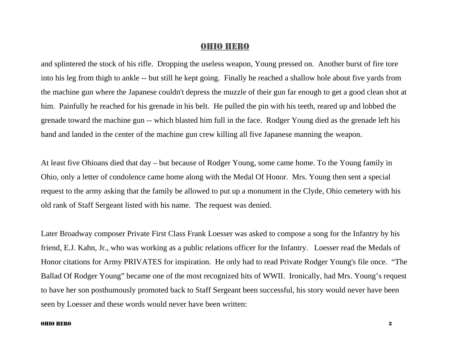and splintered the stock of his rifle. Dropping the useless weapon, Young pressed on. Another burst of fire tore into his leg from thigh to ankle -- but still he kept going. Finally he reached a shallow hole about five yards from the machine gun where the Japanese couldn't depress the muzzle of their gun far enough to get a good clean shot at him. Painfully he reached for his grenade in his belt. He pulled the pin with his teeth, reared up and lobbed the grenade toward the machine gun -- which blasted him full in the face. Rodger Young died as the grenade left his hand and landed in the center of the machine gun crew killing all five Japanese manning the weapon.

At least five Ohioans died that day – but because of Rodger Young, some came home. To the Young family in Ohio, only a letter of condolence came home along with the Medal Of Honor. Mrs. Young then sent a special request to the army asking that the family be allowed to put up a monument in the Clyde, Ohio cemetery with his old rank of Staff Sergeant listed with his name. The request was denied.

Later Broadway composer Private First Class Frank Loesser was asked to compose a song for the Infantry by his friend, E.J. Kahn, Jr., who was working as a public relations officer for the Infantry. Loesser read the Medals of Honor citations for Army PRIVATES for inspiration. He only had to read Private Rodger Young's file once. "The Ballad Of Rodger Young" became one of the most recognized hits of WWII. Ironically, had Mrs. Young's request to have her son posthumously promoted back to Staff Sergeant been successful, his story would never have been seen by Loesser and these words would never have been written:

#### OHIO HERO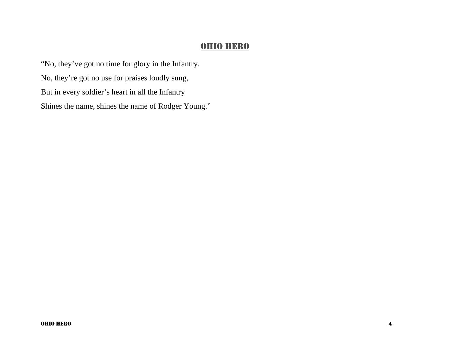"No, they've got no time for glory in the Infantry. No, they're got no use for praises loudly sung, But in every soldier's heart in all the Infantry Shines the name, shines the name of Rodger Young."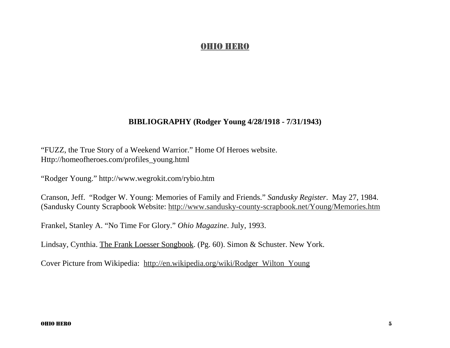#### **BIBLIOGRAPHY (Rodger Young 4/28/1918 - 7/31/1943)**

"FUZZ, the True Story of a Weekend Warrior." Home Of Heroes website. Http://homeofheroes.com/profiles\_young.html

"Rodger Young." http://www.wegrokit.com/rybio.htm

Cranson, Jeff. "Rodger W. Young: Memories of Family and Friends." *Sandusky Register*. May 27, 1984. (Sandusky County Scrapbook Website: http://www.sandusky-county-scrapbook.net/Young/Memories.htm

Frankel, Stanley A. "No Time For Glory." *Ohio Magazine*. July, 1993.

Lindsay, Cynthia. The Frank Loesser Songbook. (Pg. 60). Simon & Schuster. New York.

Cover Picture from Wikipedia: http://en.wikipedia.org/wiki/Rodger\_Wilton\_Young